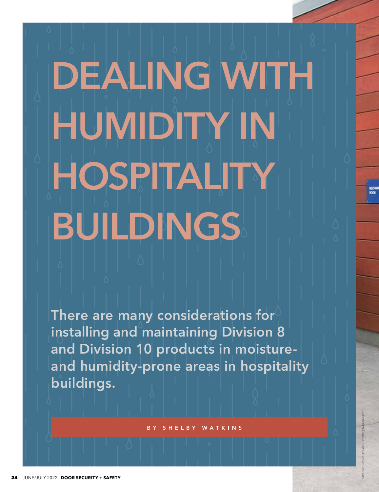# **DEALING WITH HUMIDITY IN HOSPITALITY BUILDINGS**

**There are many considerations for installing and maintaining Division 8 and Division 10 products in moistureand humidity-prone areas in hospitality buildings.**

LBY WATKINS

BACKGROUND ILLUSTRATON: ISTOCK | TATIANAZAETS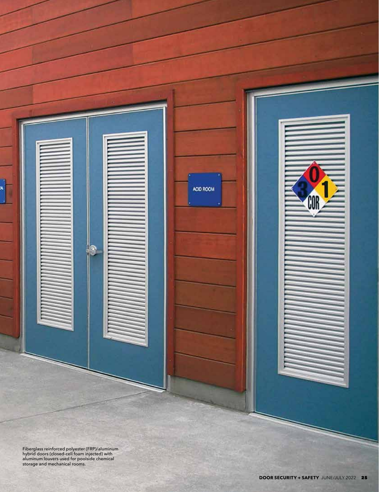

ACID ROOM

hybrid doors (closed-cell foam injected) with aluminum louvers used for poolside chemical storage and mechanical rooms.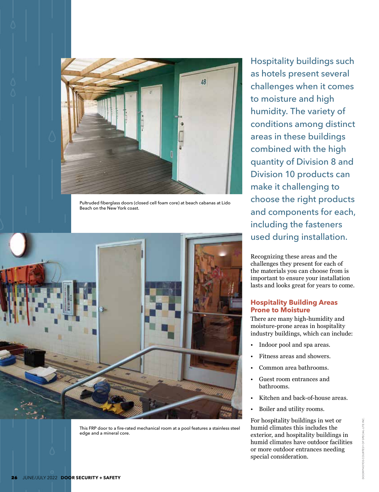

Pultruded fiberglass doors (closed cell foam core) at beach cabanas at Lido Beach on the New York coast.



This FRP door to a fire-rated mechanical room at a pool features a stainless steel edge and a mineral core.

Hospitality buildings such as hotels present several challenges when it comes to moisture and high humidity. The variety of conditions among distinct areas in these buildings combined with the high quantity of Division 8 and Division 10 products can make it challenging to choose the right products and components for each, including the fasteners used during installation.

Recognizing these areas and the challenges they present for each of the materials you can choose from is important to ensure your installation lasts and looks great for years to come.

# **Hospitality Building Areas Prone to Moisture**

There are many high-humidity and moisture-prone areas in hospitality industry buildings, which can include:

- Indoor pool and spa areas.
- Fitness areas and showers.
- Common area bathrooms.
- Guest room entrances and bathrooms.
- Kitchen and back-of-house areas.
- Boiler and utility rooms.

For hospitality buildings in wet or humid climates this includes the exterior, and hospitality buildings in humid climates have outdoor facilities or more outdoor entrances needing special consideration.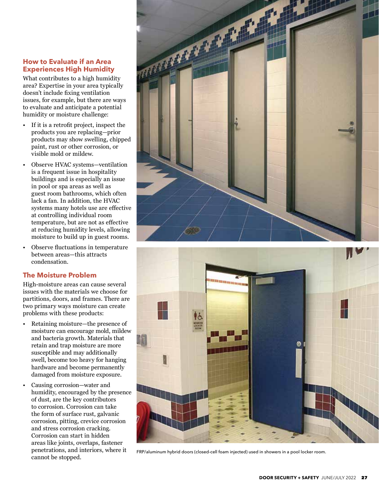# **How to Evaluate if an Area Experiences High Humidity**

What contributes to a high humidity area? Expertise in your area typically doesn't include fixing ventilation issues, for example, but there are ways to evaluate and anticipate a potential humidity or moisture challenge:

- If it is a retrofit project, inspect the products you are replacing—prior products may show swelling, chipped paint, rust or other corrosion, or visible mold or mildew.
- Observe HVAC systems—ventilation is a frequent issue in hospitality buildings and is especially an issue in pool or spa areas as well as guest room bathrooms, which often lack a fan. In addition, the HVAC systems many hotels use are effective at controlling individual room temperature, but are not as effective at reducing humidity levels, allowing moisture to build up in guest rooms.
- Observe fluctuations in temperature between areas—this attracts condensation.

# **The Moisture Problem**

High-moisture areas can cause several issues with the materials we choose for partitions, doors, and frames. There are two primary ways moisture can create problems with these products:

- Retaining moisture—the presence of moisture can encourage mold, mildew and bacteria growth. Materials that retain and trap moisture are more susceptible and may additionally swell, become too heavy for hanging hardware and become permanently damaged from moisture exposure.
- Causing corrosion—water and humidity, encouraged by the presence of dust, are the key contributors to corrosion. Corrosion can take the form of surface rust, galvanic corrosion, pitting, crevice corrosion and stress corrosion cracking. Corrosion can start in hidden areas like joints, overlaps, fastener penetrations, and interiors, where it cannot be stopped.





FRP/aluminum hybrid doors (closed-cell foam injected) used in showers in a pool locker room.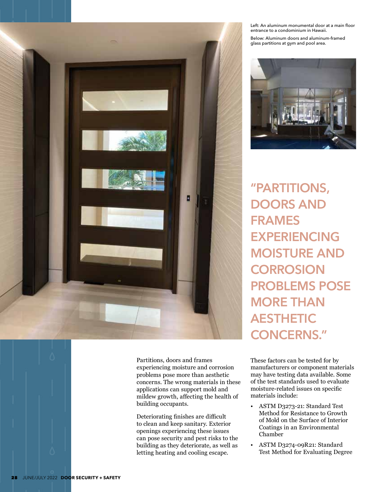

Partitions, doors and frames experiencing moisture and corrosion problems pose more than aesthetic concerns. The wrong materials in these applications can support mold and mildew growth, affecting the health of building occupants.

Deteriorating finishes are difficult to clean and keep sanitary. Exterior openings experiencing these issues can pose security and pest risks to the building as they deteriorate, as well as letting heating and cooling escape.

Left: An aluminum monumental door at a main floor entrance to a condominium in Hawaii.

Below: Aluminum doors and aluminum-framed glass partitions at gym and pool area.



**"PARTITIONS, DOORS AND FRAMES EXPERIENCING MOISTURE AND CORROSION PROBLEMS POSE MORE THAN AESTHETIC CONCERNS."**

These factors can be tested for by manufacturers or component materials may have testing data available. Some of the test standards used to evaluate moisture-related issues on specific materials include:

- ASTM D3273-21: Standard Test Method for Resistance to Growth of Mold on the Surface of Interior Coatings in an Environmental Chamber
- ASTM D3274-09R21: Standard Test Method for Evaluating Degree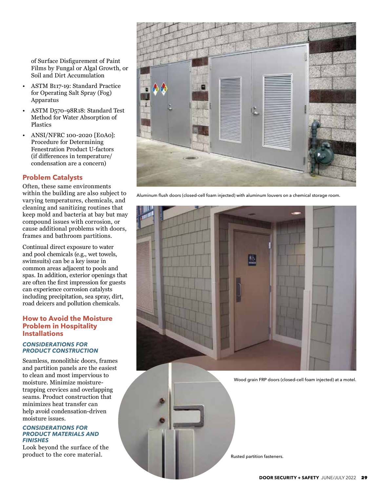of Surface Disfigurement of Paint Films by Fungal or Algal Growth, or Soil and Dirt Accumulation

- ASTM B117-19: Standard Practice for Operating Salt Spray (Fog) Apparatus
- ASTM D570-98R18: Standard Test Method for Water Absorption of Plastics
- ANSI/NFRC 100-2020 [E0A0]: Procedure for Determining Fenestration Product U-factors (if differences in temperature/ condensation are a concern)

# **Problem Catalysts**

Often, these same environments within the building are also subject to varying temperatures, chemicals, and cleaning and sanitizing routines that keep mold and bacteria at bay but may compound issues with corrosion, or cause additional problems with doors, frames and bathroom partitions.

Continual direct exposure to water and pool chemicals (e.g., wet towels, swimsuits) can be a key issue in common areas adjacent to pools and spas. In addition, exterior openings that are often the first impression for guests can experience corrosion catalysts including precipitation, sea spray, dirt, road deicers and pollution chemicals.

# **How to Avoid the Moisture Problem in Hospitality Installations**

## *CONSIDERATIONS FOR PRODUCT CONSTRUCTION*

Seamless, monolithic doors, frames and partition panels are the easiest to clean and most impervious to moisture. Minimize moisturetrapping crevices and overlapping seams. Product construction that minimizes heat transfer can help avoid condensation-driven moisture issues.

#### *CONSIDERATIONS FOR PRODUCT MATERIALS AND FINISHES*

Look beyond the surface of the product to the core material.



Aluminum flush doors (closed-cell foam injected) with aluminum louvers on a chemical storage room.